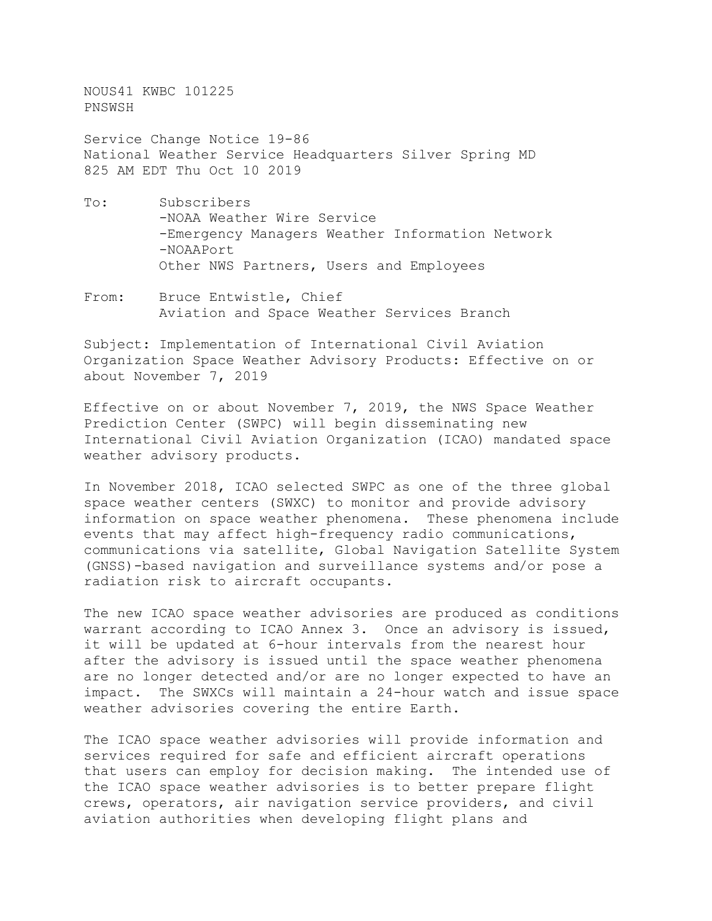NOUS41 KWBC 101225 PNSWSH

Service Change Notice 19-86 National Weather Service Headquarters Silver Spring MD 825 AM EDT Thu Oct 10 2019

- To: Subscribers -NOAA Weather Wire Service -Emergency Managers Weather Information Network -NOAAPort Other NWS Partners, Users and Employees
- From: Bruce Entwistle, Chief Aviation and Space Weather Services Branch

Subject: Implementation of International Civil Aviation Organization Space Weather Advisory Products: Effective on or about November 7, 2019

Effective on or about November 7, 2019, the NWS Space Weather Prediction Center (SWPC) will begin disseminating new International Civil Aviation Organization (ICAO) mandated space weather advisory products.

In November 2018, ICAO selected SWPC as one of the three global space weather centers (SWXC) to monitor and provide advisory information on space weather phenomena. These phenomena include events that may affect high-frequency radio communications, communications via satellite, Global Navigation Satellite System (GNSS)-based navigation and surveillance systems and/or pose a radiation risk to aircraft occupants.

The new ICAO space weather advisories are produced as conditions warrant according to ICAO Annex 3. Once an advisory is issued, it will be updated at 6-hour intervals from the nearest hour after the advisory is issued until the space weather phenomena are no longer detected and/or are no longer expected to have an impact. The SWXCs will maintain a 24-hour watch and issue space weather advisories covering the entire Earth.

The ICAO space weather advisories will provide information and services required for safe and efficient aircraft operations that users can employ for decision making. The intended use of the ICAO space weather advisories is to better prepare flight crews, operators, air navigation service providers, and civil aviation authorities when developing flight plans and